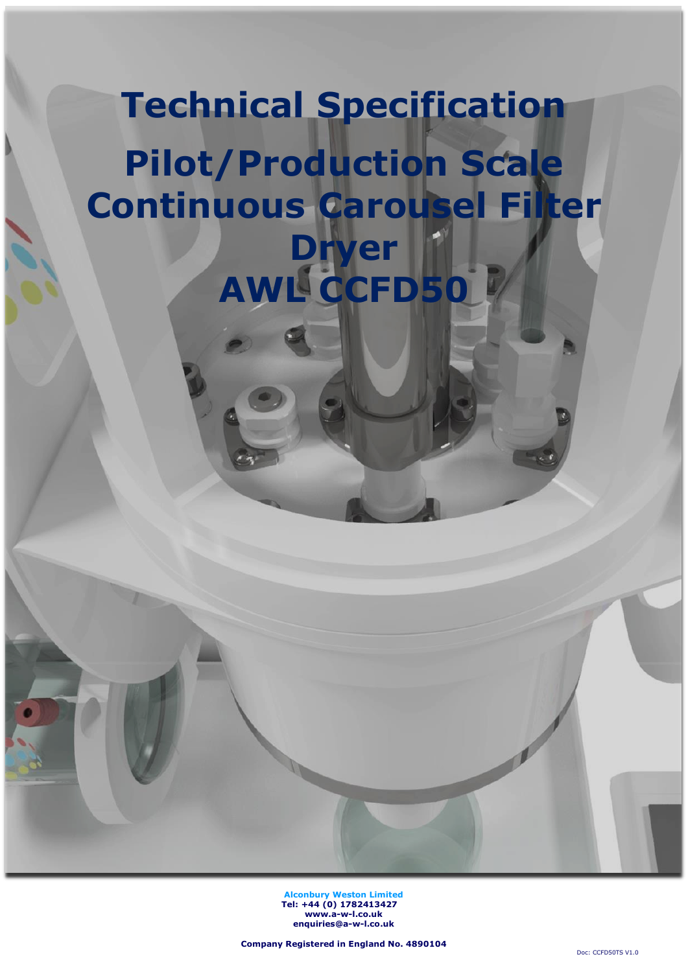# **Technical Specification Pilot/Production Scale Continuous Carousel Filter Dryer AWL CCFD50**

**Alconbury Weston Limited Tel: +44 (0) 1782413427 [www.a-w-l.co.uk](http://www.a-w-l.co.uk/) enquiries@a-w-l.co.uk**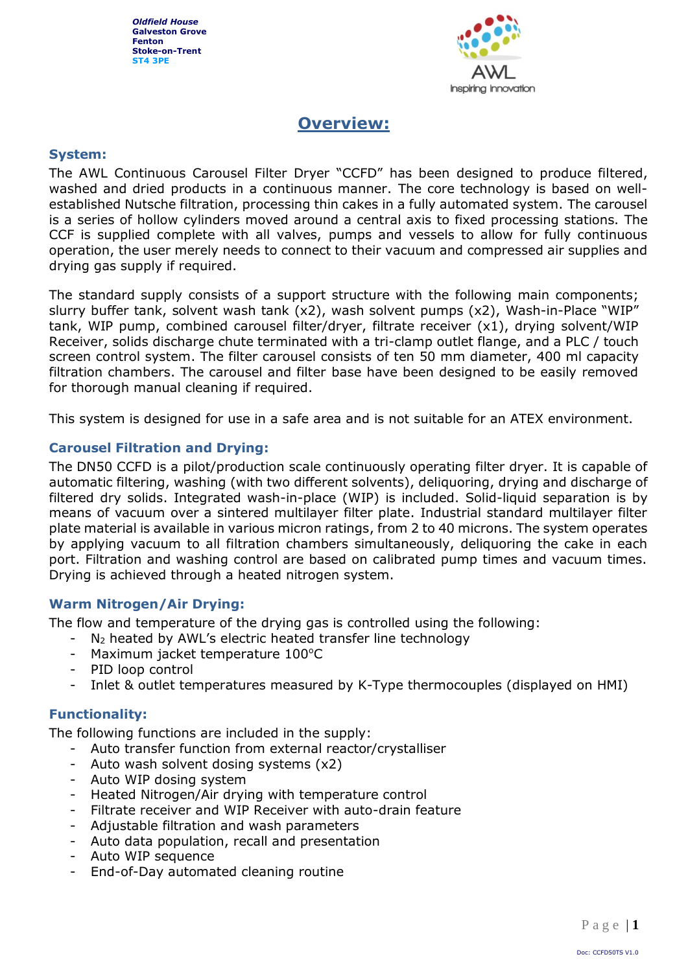

## **Overview:**

## **System:**

The AWL Continuous Carousel Filter Dryer "CCFD" has been designed to produce filtered, washed and dried products in a continuous manner. The core technology is based on wellestablished Nutsche filtration, processing thin cakes in a fully automated system. The carousel is a series of hollow cylinders moved around a central axis to fixed processing stations. The CCF is supplied complete with all valves, pumps and vessels to allow for fully continuous operation, the user merely needs to connect to their vacuum and compressed air supplies and drying gas supply if required.

The standard supply consists of a support structure with the following main components; slurry buffer tank, solvent wash tank (x2), wash solvent pumps (x2), Wash-in-Place "WIP" tank, WIP pump, combined carousel filter/dryer, filtrate receiver (x1), drying solvent/WIP Receiver, solids discharge chute terminated with a tri-clamp outlet flange, and a PLC / touch screen control system. The filter carousel consists of ten 50 mm diameter, 400 ml capacity filtration chambers. The carousel and filter base have been designed to be easily removed for thorough manual cleaning if required.

This system is designed for use in a safe area and is not suitable for an ATEX environment.

## **Carousel Filtration and Drying:**

The DN50 CCFD is a pilot/production scale continuously operating filter dryer. It is capable of automatic filtering, washing (with two different solvents), deliquoring, drying and discharge of filtered dry solids. Integrated wash-in-place (WIP) is included. Solid-liquid separation is by means of vacuum over a sintered multilayer filter plate. Industrial standard multilayer filter plate material is available in various micron ratings, from 2 to 40 microns. The system operates by applying vacuum to all filtration chambers simultaneously, deliquoring the cake in each port. Filtration and washing control are based on calibrated pump times and vacuum times. Drying is achieved through a heated nitrogen system.

## **Warm Nitrogen/Air Drying:**

The flow and temperature of the drying gas is controlled using the following:

- N<sup>2</sup> heated by AWL's electric heated transfer line technology
- Maximum jacket temperature  $100^{\circ}$ C
- PID loop control
- Inlet & outlet temperatures measured by K-Type thermocouples (displayed on HMI)

## **Functionality:**

The following functions are included in the supply:

- Auto transfer function from external reactor/crystalliser
- Auto wash solvent dosing systems (x2)
- Auto WIP dosing system
- Heated Nitrogen/Air drying with temperature control
- Filtrate receiver and WIP Receiver with auto-drain feature
- Adjustable filtration and wash parameters
- Auto data population, recall and presentation
- Auto WIP sequence
- End-of-Day automated cleaning routine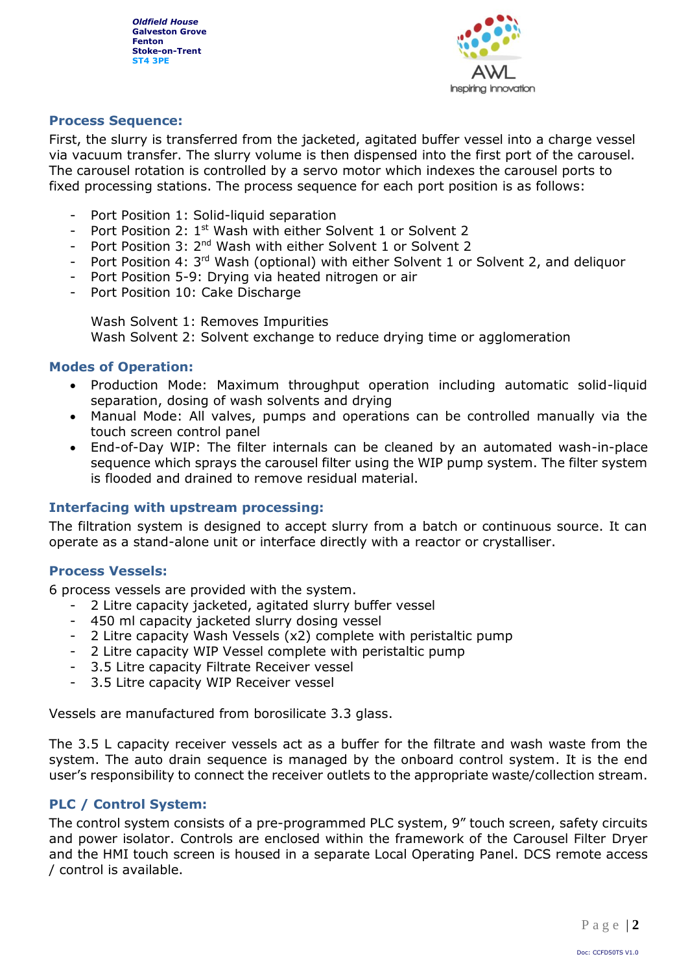

## **Process Sequence:**

First, the slurry is transferred from the jacketed, agitated buffer vessel into a charge vessel via vacuum transfer. The slurry volume is then dispensed into the first port of the carousel. The carousel rotation is controlled by a servo motor which indexes the carousel ports to fixed processing stations. The process sequence for each port position is as follows:

- Port Position 1: Solid-liquid separation
- Port Position 2: 1<sup>st</sup> Wash with either Solvent 1 or Solvent 2
- Port Position 3: 2<sup>nd</sup> Wash with either Solvent 1 or Solvent 2
- Port Position 4: 3<sup>rd</sup> Wash (optional) with either Solvent 1 or Solvent 2, and deliquor
- Port Position 5-9: Drving via heated nitrogen or air
- Port Position 10: Cake Discharge

Wash Solvent 1: Removes Impurities Wash Solvent 2: Solvent exchange to reduce drying time or agglomeration

## **Modes of Operation:**

- Production Mode: Maximum throughput operation including automatic solid-liquid separation, dosing of wash solvents and drying
- Manual Mode: All valves, pumps and operations can be controlled manually via the touch screen control panel
- End-of-Day WIP: The filter internals can be cleaned by an automated wash-in-place sequence which sprays the carousel filter using the WIP pump system. The filter system is flooded and drained to remove residual material.

## **Interfacing with upstream processing:**

The filtration system is designed to accept slurry from a batch or continuous source. It can operate as a stand-alone unit or interface directly with a reactor or crystalliser.

## **Process Vessels:**

6 process vessels are provided with the system.

- 2 Litre capacity jacketed, agitated slurry buffer vessel
- 450 ml capacity jacketed slurry dosing vessel
- 2 Litre capacity Wash Vessels (x2) complete with peristaltic pump
- 2 Litre capacity WIP Vessel complete with peristaltic pump
- 3.5 Litre capacity Filtrate Receiver vessel
- 3.5 Litre capacity WIP Receiver vessel

Vessels are manufactured from borosilicate 3.3 glass.

The 3.5 L capacity receiver vessels act as a buffer for the filtrate and wash waste from the system. The auto drain sequence is managed by the onboard control system. It is the end user's responsibility to connect the receiver outlets to the appropriate waste/collection stream.

## **PLC / Control System:**

The control system consists of a pre-programmed PLC system, 9" touch screen, safety circuits and power isolator. Controls are enclosed within the framework of the Carousel Filter Dryer and the HMI touch screen is housed in a separate Local Operating Panel. DCS remote access / control is available.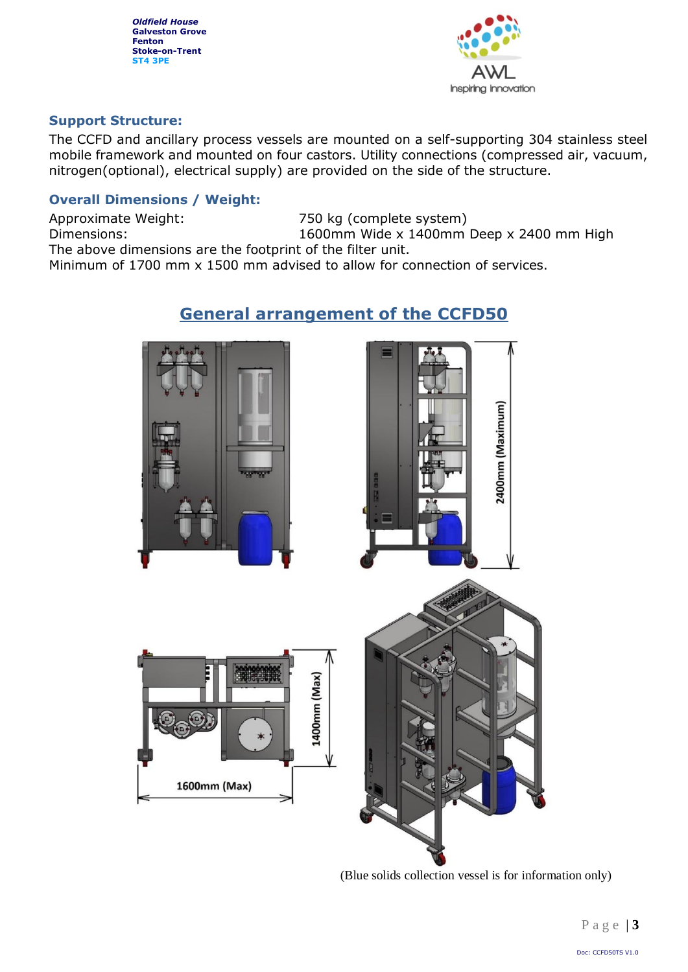

## **Support Structure:**

The CCFD and ancillary process vessels are mounted on a self-supporting 304 stainless steel mobile framework and mounted on four castors. Utility connections (compressed air, vacuum, nitrogen(optional), electrical supply) are provided on the side of the structure.

## **Overall Dimensions / Weight:**

Approximate Weight: 750 kg (complete system) Dimensions: 1600mm Wide x 1400mm Deep x 2400 mm High The above dimensions are the footprint of the filter unit.

Minimum of 1700 mm x 1500 mm advised to allow for connection of services.

## **General arrangement of the CCFD50**



(Blue solids collection vessel is for information only)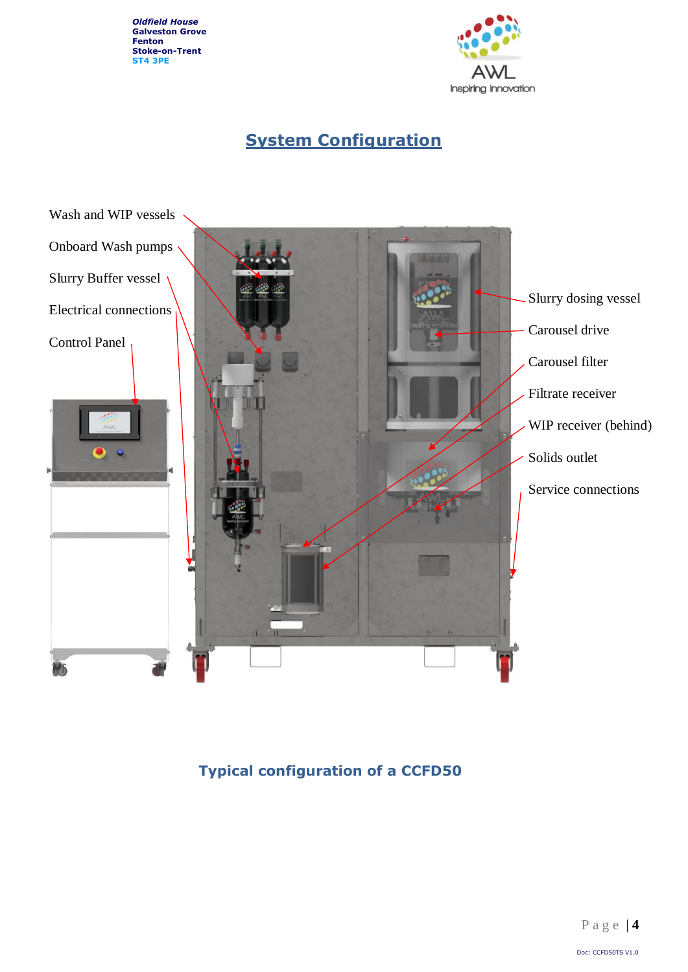

# **System Configuration**



**Typical configuration of a CCFD50**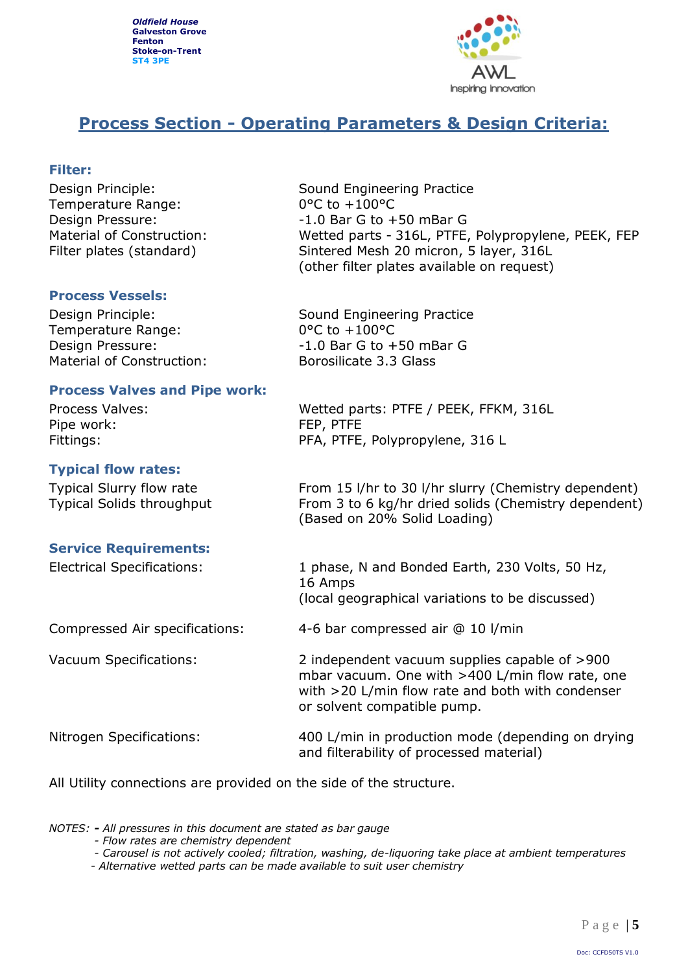![](_page_5_Picture_1.jpeg)

## **Process Section - Operating Parameters & Design Criteria:**

## **Filter:**

Temperature Range: 0°C to +100°C

Design Principle: Sound Engineering Practice Design Pressure:  $-1.0$  Bar G to +50 mBar G Material of Construction: Wetted parts - 316L, PTFE, Polypropylene, PEEK, FEP Filter plates (standard) Sintered Mesh 20 micron, 5 layer, 316L (other filter plates available on request)

## **Process Vessels:**

Temperature Range: 0°C to +100°C Material of Construction: Borosilicate 3.3 Glass

## **Process Valves and Pipe work:**

Pipe work: FEP, PTFE

## **Typical flow rates:**

## **Service Requirements:**

Design Principle: Sound Engineering Practice Design Pressure:  $-1.0$  Bar G to +50 mBar G

Process Valves: Wetted parts: PTFE / PEEK, FFKM, 316L Fittings: The PFA, PTFE, Polypropylene, 316 L

Typical Slurry flow rate From 15 l/hr to 30 l/hr slurry (Chemistry dependent) Typical Solids throughput From 3 to 6 kg/hr dried solids (Chemistry dependent) (Based on 20% Solid Loading)

Electrical Specifications: 1 phase, N and Bonded Earth, 230 Volts, 50 Hz, 16 Amps (local geographical variations to be discussed)

Compressed Air specifications: 4-6 bar compressed air @ 10 l/min

Vacuum Specifications: 2 independent vacuum supplies capable of >900 mbar vacuum. One with >400 L/min flow rate, one with >20 L/min flow rate and both with condenser or solvent compatible pump.

Nitrogen Specifications: 400 L/min in production mode (depending on drying and filterability of processed material)

All Utility connections are provided on the side of the structure.

*NOTES: - All pressures in this document are stated as bar gauge*

- *- Flow rates are chemistry dependent*
- *- Carousel is not actively cooled; filtration, washing, de-liquoring take place at ambient temperatures*
- *- Alternative wetted parts can be made available to suit user chemistry*